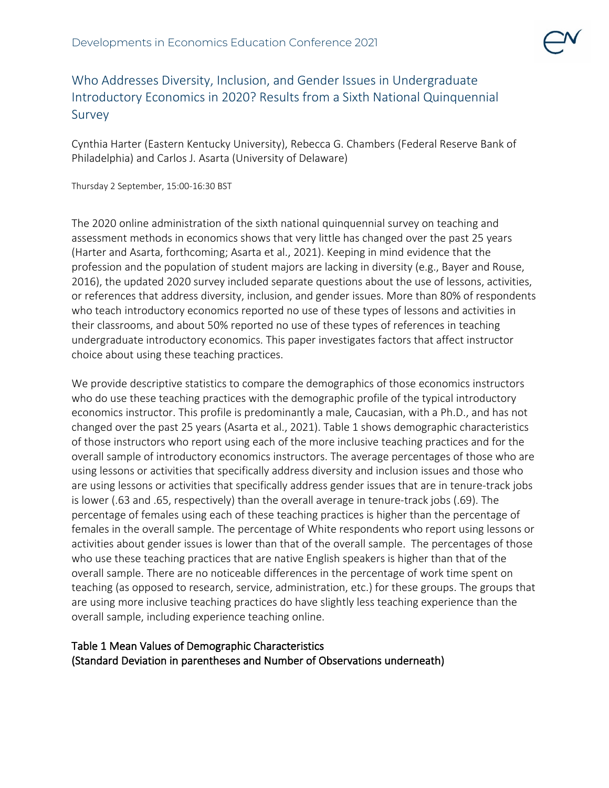## Who Addresses Diversity, Inclusion, and Gender Issues in Undergraduate Introductory Economics in 2020? Results from a Sixth National Quinquennial Survey

Cynthia Harter (Eastern Kentucky University), Rebecca G. Chambers (Federal Reserve Bank of Philadelphia) and Carlos J. Asarta (University of Delaware)

Thursday 2 September, 15:00-16:30 BST

The 2020 online administration of the sixth national quinquennial survey on teaching and assessment methods in economics shows that very little has changed over the past 25 years (Harter and Asarta, forthcoming; Asarta et al., 2021). Keeping in mind evidence that the profession and the population of student majors are lacking in diversity (e.g., Bayer and Rouse, 2016), the updated 2020 survey included separate questions about the use of lessons, activities, or references that address diversity, inclusion, and gender issues. More than 80% of respondents who teach introductory economics reported no use of these types of lessons and activities in their classrooms, and about 50% reported no use of these types of references in teaching undergraduate introductory economics. This paper investigates factors that affect instructor choice about using these teaching practices.

We provide descriptive statistics to compare the demographics of those economics instructors who do use these teaching practices with the demographic profile of the typical introductory economics instructor. This profile is predominantly a male, Caucasian, with a Ph.D., and has not changed over the past 25 years (Asarta et al., 2021). Table 1 shows demographic characteristics of those instructors who report using each of the more inclusive teaching practices and for the overall sample of introductory economics instructors. The average percentages of those who are using lessons or activities that specifically address diversity and inclusion issues and those who are using lessons or activities that specifically address gender issues that are in tenure-track jobs is lower (.63 and .65, respectively) than the overall average in tenure-track jobs (.69). The percentage of females using each of these teaching practices is higher than the percentage of females in the overall sample. The percentage of White respondents who report using lessons or activities about gender issues is lower than that of the overall sample. The percentages of those who use these teaching practices that are native English speakers is higher than that of the overall sample. There are no noticeable differences in the percentage of work time spent on teaching (as opposed to research, service, administration, etc.) for these groups. The groups that are using more inclusive teaching practices do have slightly less teaching experience than the overall sample, including experience teaching online.

## Table 1 Mean Values of Demographic Characteristics (Standard Deviation in parentheses and Number of Observations underneath)